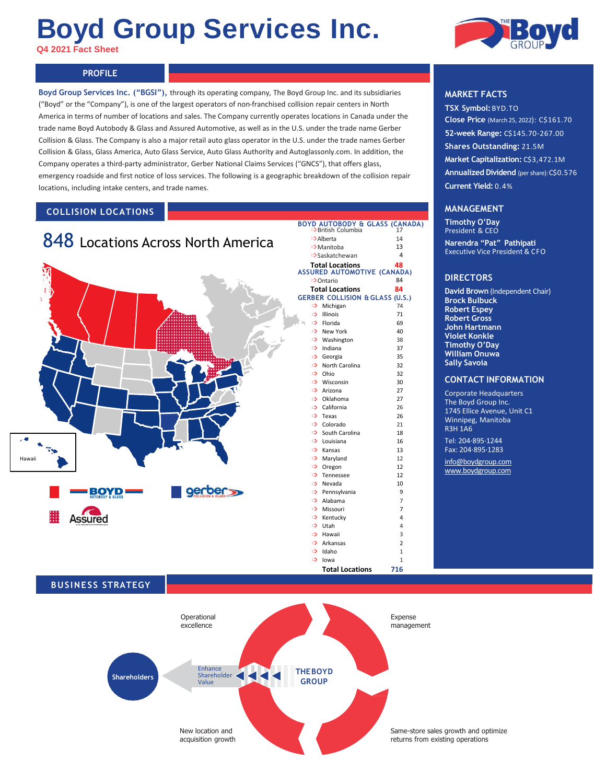# **Boyd Group Services Inc.**

**Q4 2021 Fact Sheet** 

#### **PROFILE PROFILE**

**Boyd Group Services Inc. ("BGSI"),** through its operating company, The Boyd Group Inc. and its subsidiaries ("Boyd" or the "Company"), is one of the largest operators of non-franchised collision repair centers in North America in terms of number of locations and sales. The Company currently operates locations in Canada under the trade name Boyd Autobody & Glass and Assured Automotive, as well as in the U.S. under the trade name Gerber Collision & Glass. The Company is also a major retail auto glass operator in the U.S. under the trade names Gerber Collision & Glass, Glass America, Auto Glass Service, Auto Glass Authority and Autoglassonly.com. In addition, the Company operates a third-party administrator, Gerber National Claims Services ("GNCS"), that offers glass, emergency roadside and first notice of loss services. The following is a geographic breakdown of the collision repair locations, including intake centers, and trade names.

# **COLLISION LOCATIONS**



# **Total Locations 716**





## **MARKET FACTS**

**TSX Symbol:**BYD.TO **Close Price** (March 25, 2022): C\$161.70 **52-week Range:** C\$145.70-267.00 **Shares Outstanding:** 21.5M **Market Capitalization:** C\$3,472.1M **Annualized Dividend** (per share): C\$0.576 **Current Yield:** 0.4%

### **MANAGEMENT**

**Timothy O'Day** President & CEO **Narendra "Pat" Pathipati** Executive Vice President & CFO

#### **DIRECTORS**

**David Brown** (Independent Chair) **Brock Bulbuck Robert Espey Robert Gross John Hartmann Violet Konkle Timothy O'Day William Onuwa Sally Savoia**

#### **CONTACT INFORMATION**

Corporate Headquarters The Boyd Group Inc. 1745 Ellice Avenue, Unit C1 Winnipeg, Manitoba R3H 1A6

Tel: 204·895·1244 Fax: 204·895·1283

[info@boydgroup.com](mailto:info@boydgroup.com) [www.boydgroup.com](http://www.boydgroup.com/)